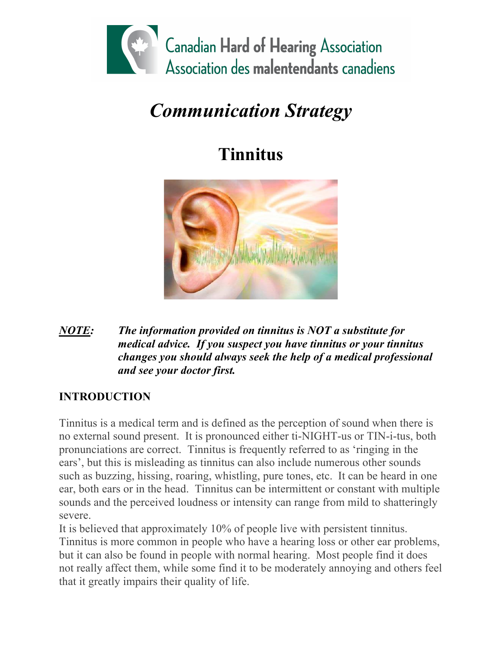

# *Communication Strategy*

## **Tinnitus**



#### *NOTE: The information provided on tinnitus is NOT a substitute for medical advice. If you suspect you have tinnitus or your tinnitus changes you should always seek the help of a medical professional and see your doctor first.*

## **INTRODUCTION**

Tinnitus is a medical term and is defined as the perception of sound when there is no external sound present. It is pronounced either ti-NIGHT-us or TIN-i-tus, both pronunciations are correct. Tinnitus is frequently referred to as 'ringing in the ears', but this is misleading as tinnitus can also include numerous other sounds such as buzzing, hissing, roaring, whistling, pure tones, etc. It can be heard in one ear, both ears or in the head. Tinnitus can be intermittent or constant with multiple sounds and the perceived loudness or intensity can range from mild to shatteringly severe.

It is believed that approximately 10% of people live with persistent tinnitus. Tinnitus is more common in people who have a hearing loss or other ear problems, but it can also be found in people with normal hearing. Most people find it does not really affect them, while some find it to be moderately annoying and others feel that it greatly impairs their quality of life.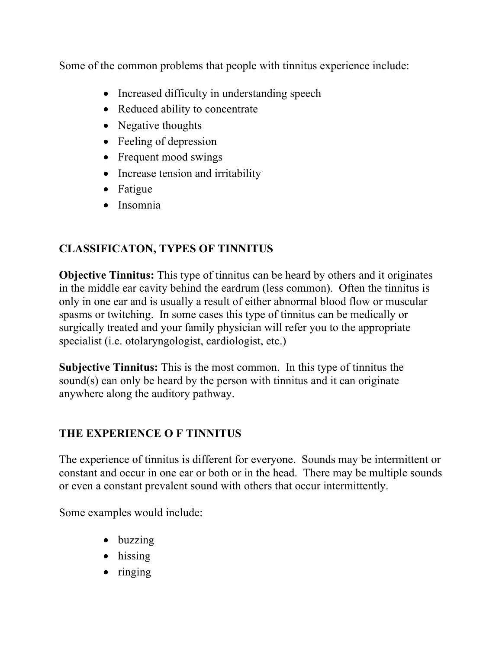Some of the common problems that people with tinnitus experience include:

- Increased difficulty in understanding speech
- Reduced ability to concentrate
- Negative thoughts
- Feeling of depression
- Frequent mood swings
- Increase tension and irritability
- Fatigue
- Insomnia

## **CLASSIFICATON, TYPES OF TINNITUS**

**Objective Tinnitus:** This type of tinnitus can be heard by others and it originates in the middle ear cavity behind the eardrum (less common). Often the tinnitus is only in one ear and is usually a result of either abnormal blood flow or muscular spasms or twitching. In some cases this type of tinnitus can be medically or surgically treated and your family physician will refer you to the appropriate specialist (i.e. otolaryngologist, cardiologist, etc.)

**Subjective Tinnitus:** This is the most common. In this type of tinnitus the sound(s) can only be heard by the person with tinnitus and it can originate anywhere along the auditory pathway.

## **THE EXPERIENCE O F TINNITUS**

The experience of tinnitus is different for everyone. Sounds may be intermittent or constant and occur in one ear or both or in the head. There may be multiple sounds or even a constant prevalent sound with others that occur intermittently.

Some examples would include:

- buzzing
- hissing
- ringing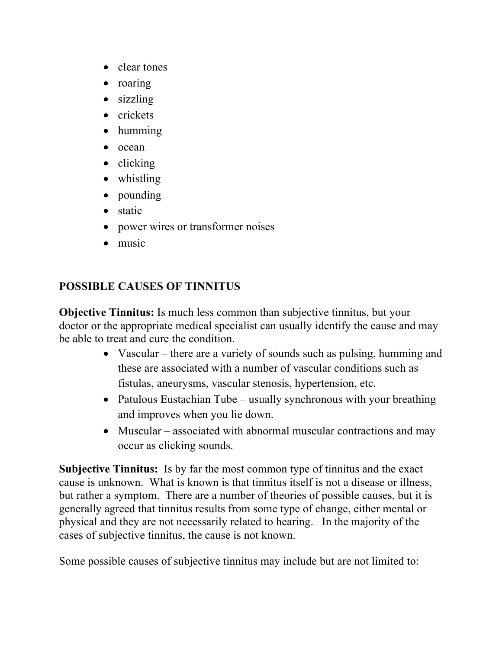- clear tones
- roaring
- sizzling
- crickets
- humming
- ocean
- clicking
- whistling
- pounding
- static
- power wires or transformer noises
- music

## **POSSIBLE CAUSES OF TINNITUS**

**Objective Tinnitus:** Is much less common than subjective tinnitus, but your doctor or the appropriate medical specialist can usually identify the cause and may be able to treat and cure the condition.

- Vascular there are a variety of sounds such as pulsing, humming and these are associated with a number of vascular conditions such as fistulas, aneurysms, vascular stenosis, hypertension, etc.
- Patulous Eustachian Tube usually synchronous with your breathing and improves when you lie down.
- Muscular associated with abnormal muscular contractions and may occur as clicking sounds.

**Subjective Tinnitus:** Is by far the most common type of tinnitus and the exact cause is unknown. What is known is that tinnitus itself is not a disease or illness, but rather a symptom. There are a number of theories of possible causes, but it is generally agreed that tinnitus results from some type of change, either mental or physical and they are not necessarily related to hearing. In the majority of the cases of subjective tinnitus, the cause is not known.

Some possible causes of subjective tinnitus may include but are not limited to: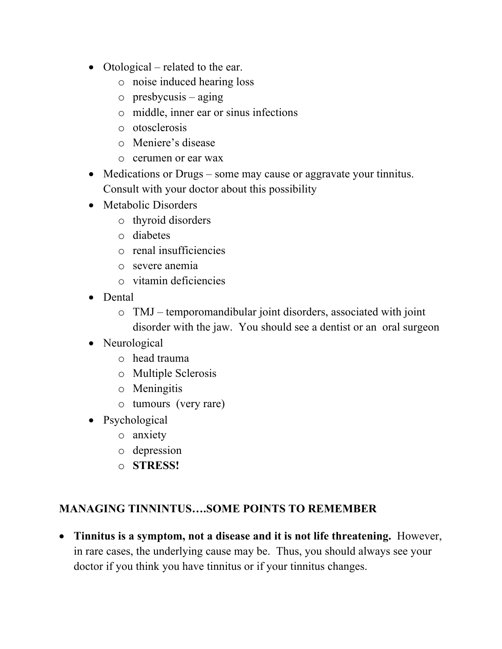- Otological related to the ear.
	- o noise induced hearing loss
	- $\circ$  presbycusis aging
	- o middle, inner ear or sinus infections
	- o otosclerosis
	- o Meniere's disease
	- o cerumen or ear wax
- Medications or Drugs some may cause or aggravate your tinnitus. Consult with your doctor about this possibility
- Metabolic Disorders
	- o thyroid disorders
	- o diabetes
	- o renal insufficiencies
	- o severe anemia
	- o vitamin deficiencies
- Dental
	- o TMJ temporomandibular joint disorders, associated with joint disorder with the jaw. You should see a dentist or an oral surgeon
- Neurological
	- o head trauma
	- o Multiple Sclerosis
	- o Meningitis
	- o tumours (very rare)
- Psychological
	- o anxiety
	- o depression
	- o **STRESS!**

#### **MANAGING TINNINTUS….SOME POINTS TO REMEMBER**

• **Tinnitus is a symptom, not a disease and it is not life threatening.** However, in rare cases, the underlying cause may be. Thus, you should always see your doctor if you think you have tinnitus or if your tinnitus changes.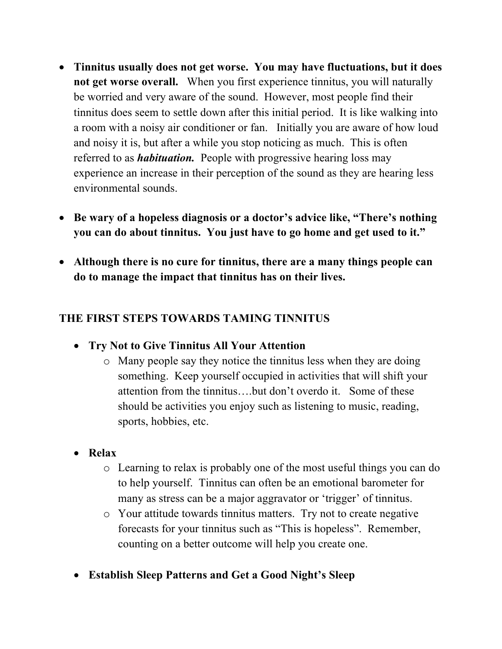- **Tinnitus usually does not get worse. You may have fluctuations, but it does not get worse overall.** When you first experience tinnitus, you will naturally be worried and very aware of the sound. However, most people find their tinnitus does seem to settle down after this initial period. It is like walking into a room with a noisy air conditioner or fan. Initially you are aware of how loud and noisy it is, but after a while you stop noticing as much. This is often referred to as *habituation.* People with progressive hearing loss may experience an increase in their perception of the sound as they are hearing less environmental sounds.
- **Be wary of a hopeless diagnosis or a doctor's advice like, "There's nothing you can do about tinnitus. You just have to go home and get used to it."**
- **Although there is no cure for tinnitus, there are a many things people can do to manage the impact that tinnitus has on their lives.**

#### **THE FIRST STEPS TOWARDS TAMING TINNITUS**

- **Try Not to Give Tinnitus All Your Attention**
	- o Many people say they notice the tinnitus less when they are doing something. Keep yourself occupied in activities that will shift your attention from the tinnitus….but don't overdo it. Some of these should be activities you enjoy such as listening to music, reading, sports, hobbies, etc.
- **Relax**
	- o Learning to relax is probably one of the most useful things you can do to help yourself. Tinnitus can often be an emotional barometer for many as stress can be a major aggravator or 'trigger' of tinnitus.
	- o Your attitude towards tinnitus matters. Try not to create negative forecasts for your tinnitus such as "This is hopeless". Remember, counting on a better outcome will help you create one.
- **Establish Sleep Patterns and Get a Good Night's Sleep**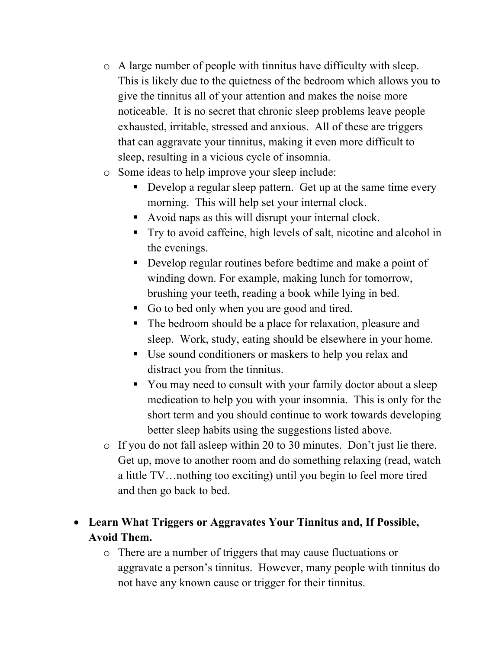- o A large number of people with tinnitus have difficulty with sleep. This is likely due to the quietness of the bedroom which allows you to give the tinnitus all of your attention and makes the noise more noticeable. It is no secret that chronic sleep problems leave people exhausted, irritable, stressed and anxious. All of these are triggers that can aggravate your tinnitus, making it even more difficult to sleep, resulting in a vicious cycle of insomnia.
- o Some ideas to help improve your sleep include:
	- Develop a regular sleep pattern. Get up at the same time every morning. This will help set your internal clock.
	- Avoid naps as this will disrupt your internal clock.
	- Try to avoid caffeine, high levels of salt, nicotine and alcohol in the evenings.
	- Develop regular routines before bedtime and make a point of winding down. For example, making lunch for tomorrow, brushing your teeth, reading a book while lying in bed.
	- Go to bed only when you are good and tired.
	- The bedroom should be a place for relaxation, pleasure and sleep. Work, study, eating should be elsewhere in your home.
	- Use sound conditioners or maskers to help you relax and distract you from the tinnitus.
	- You may need to consult with your family doctor about a sleep medication to help you with your insomnia. This is only for the short term and you should continue to work towards developing better sleep habits using the suggestions listed above.
- o If you do not fall asleep within 20 to 30 minutes. Don't just lie there. Get up, move to another room and do something relaxing (read, watch a little TV…nothing too exciting) until you begin to feel more tired and then go back to bed.
- **Learn What Triggers or Aggravates Your Tinnitus and, If Possible, Avoid Them.**
	- o There are a number of triggers that may cause fluctuations or aggravate a person's tinnitus. However, many people with tinnitus do not have any known cause or trigger for their tinnitus.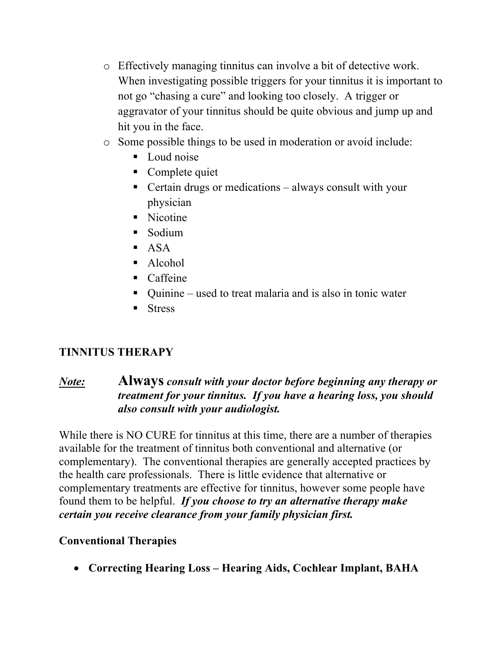- o Effectively managing tinnitus can involve a bit of detective work. When investigating possible triggers for your tinnitus it is important to not go "chasing a cure" and looking too closely. A trigger or aggravator of your tinnitus should be quite obvious and jump up and hit you in the face.
- o Some possible things to be used in moderation or avoid include:
	- Loud noise
	- Complete quiet
	- Certain drugs or medications always consult with your physician
	- Nicotine
	- Sodium
	- $-$  ASA
	- Alcohol
	- Caffeine
	- Quinine used to treat malaria and is also in tonic water
	- Stress

## **TINNITUS THERAPY**

#### *Note:* **Always** *consult with your doctor before beginning any therapy or treatment for your tinnitus. If you have a hearing loss, you should also consult with your audiologist.*

While there is NO CURE for tinnitus at this time, there are a number of therapies available for the treatment of tinnitus both conventional and alternative (or complementary). The conventional therapies are generally accepted practices by the health care professionals. There is little evidence that alternative or complementary treatments are effective for tinnitus, however some people have found them to be helpful. *If you choose to try an alternative therapy make certain you receive clearance from your family physician first.*

## **Conventional Therapies**

• **Correcting Hearing Loss – Hearing Aids, Cochlear Implant, BAHA**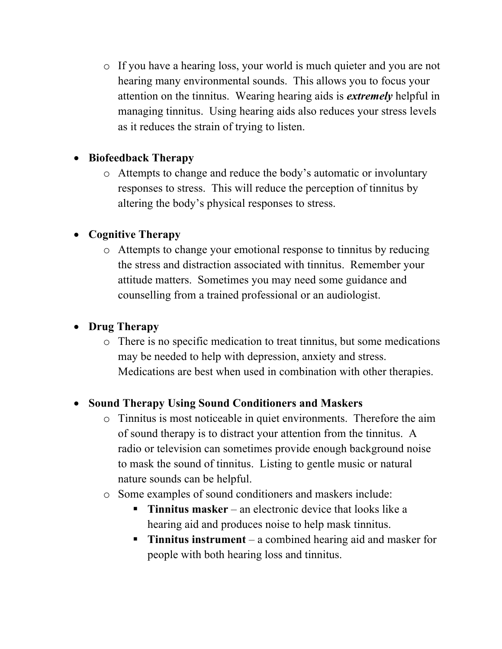o If you have a hearing loss, your world is much quieter and you are not hearing many environmental sounds. This allows you to focus your attention on the tinnitus. Wearing hearing aids is *extremely* helpful in managing tinnitus. Using hearing aids also reduces your stress levels as it reduces the strain of trying to listen.

#### • **Biofeedback Therapy**

o Attempts to change and reduce the body's automatic or involuntary responses to stress. This will reduce the perception of tinnitus by altering the body's physical responses to stress.

#### • **Cognitive Therapy**

o Attempts to change your emotional response to tinnitus by reducing the stress and distraction associated with tinnitus. Remember your attitude matters. Sometimes you may need some guidance and counselling from a trained professional or an audiologist.

## • **Drug Therapy**

o There is no specific medication to treat tinnitus, but some medications may be needed to help with depression, anxiety and stress. Medications are best when used in combination with other therapies.

## • **Sound Therapy Using Sound Conditioners and Maskers**

- o Tinnitus is most noticeable in quiet environments. Therefore the aim of sound therapy is to distract your attention from the tinnitus. A radio or television can sometimes provide enough background noise to mask the sound of tinnitus. Listing to gentle music or natural nature sounds can be helpful.
- o Some examples of sound conditioners and maskers include:
	- § **Tinnitus masker** an electronic device that looks like a hearing aid and produces noise to help mask tinnitus.
	- § **Tinnitus instrument** a combined hearing aid and masker for people with both hearing loss and tinnitus.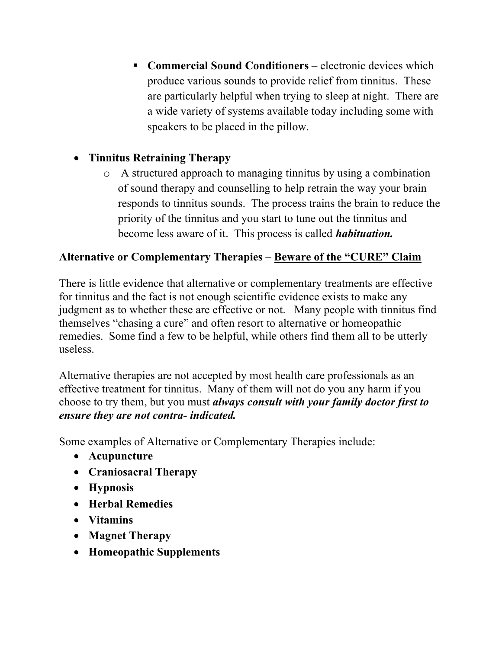■ **Commercial Sound Conditioners** – electronic devices which produce various sounds to provide relief from tinnitus. These are particularly helpful when trying to sleep at night. There are a wide variety of systems available today including some with speakers to be placed in the pillow.

#### • **Tinnitus Retraining Therapy**

o A structured approach to managing tinnitus by using a combination of sound therapy and counselling to help retrain the way your brain responds to tinnitus sounds. The process trains the brain to reduce the priority of the tinnitus and you start to tune out the tinnitus and become less aware of it. This process is called *habituation.*

#### **Alternative or Complementary Therapies – Beware of the "CURE" Claim**

There is little evidence that alternative or complementary treatments are effective for tinnitus and the fact is not enough scientific evidence exists to make any judgment as to whether these are effective or not. Many people with tinnitus find themselves "chasing a cure" and often resort to alternative or homeopathic remedies. Some find a few to be helpful, while others find them all to be utterly useless.

Alternative therapies are not accepted by most health care professionals as an effective treatment for tinnitus. Many of them will not do you any harm if you choose to try them, but you must *always consult with your family doctor first to ensure they are not contra- indicated.*

Some examples of Alternative or Complementary Therapies include:

- **Acupuncture**
- **Craniosacral Therapy**
- **Hypnosis**
- **Herbal Remedies**
- **Vitamins**
- **Magnet Therapy**
- **Homeopathic Supplements**